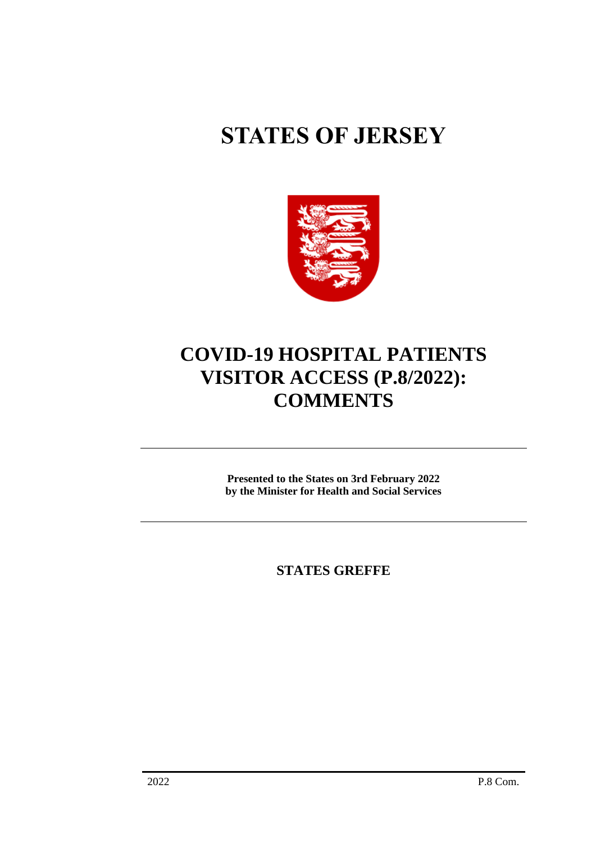## **STATES OF JERSEY**



## **COVID-19 HOSPITAL PATIENTS VISITOR ACCESS (P.8/2022): COMMENTS**

**Presented to the States on 3rd February 2022 by the Minister for Health and Social Services**

**STATES GREFFE**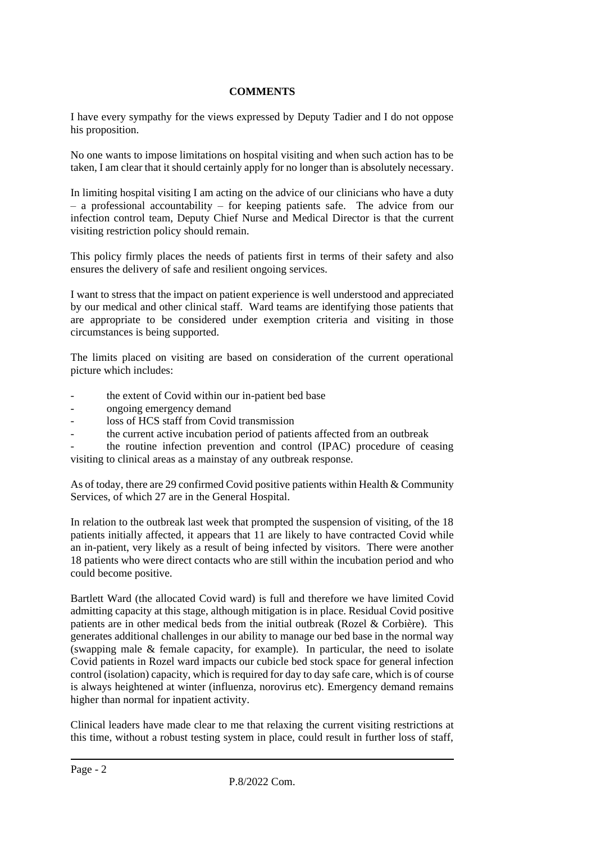## **COMMENTS**

I have every sympathy for the views expressed by Deputy Tadier and I do not oppose his proposition.

No one wants to impose limitations on hospital visiting and when such action has to be taken, I am clear that it should certainly apply for no longer than is absolutely necessary.

In limiting hospital visiting I am acting on the advice of our clinicians who have a duty  $-$  a professional accountability  $-$  for keeping patients safe. The advice from our infection control team, Deputy Chief Nurse and Medical Director is that the current visiting restriction policy should remain.

This policy firmly places the needs of patients first in terms of their safety and also ensures the delivery of safe and resilient ongoing services.

I want to stress that the impact on patient experience is well understood and appreciated by our medical and other clinical staff. Ward teams are identifying those patients that are appropriate to be considered under exemption criteria and visiting in those circumstances is being supported.

The limits placed on visiting are based on consideration of the current operational picture which includes:

- the extent of Covid within our in-patient bed base
- ongoing emergency demand
- loss of HCS staff from Covid transmission
- the current active incubation period of patients affected from an outbreak

*-* the routine infection prevention and control (IPAC) procedure of ceasing visiting to clinical areas as a mainstay of any outbreak response.

As of today, there are 29 confirmed Covid positive patients within Health & Community Services, of which 27 are in the General Hospital.

In relation to the outbreak last week that prompted the suspension of visiting, of the 18 patients initially affected, it appears that 11 are likely to have contracted Covid while an in-patient, very likely as a result of being infected by visitors. There were another 18 patients who were direct contacts who are still within the incubation period and who could become positive.

Bartlett Ward (the allocated Covid ward) is full and therefore we have limited Covid admitting capacity at this stage, although mitigation is in place. Residual Covid positive patients are in other medical beds from the initial outbreak (Rozel & Corbière). This generates additional challenges in our ability to manage our bed base in the normal way (swapping male & female capacity, for example). In particular, the need to isolate Covid patients in Rozel ward impacts our cubicle bed stock space for general infection control (isolation) capacity, which is required for day to day safe care, which is of course is always heightened at winter (influenza, norovirus etc). Emergency demand remains higher than normal for inpatient activity.

Clinical leaders have made clear to me that relaxing the current visiting restrictions at this time, without a robust testing system in place, could result in further loss of staff,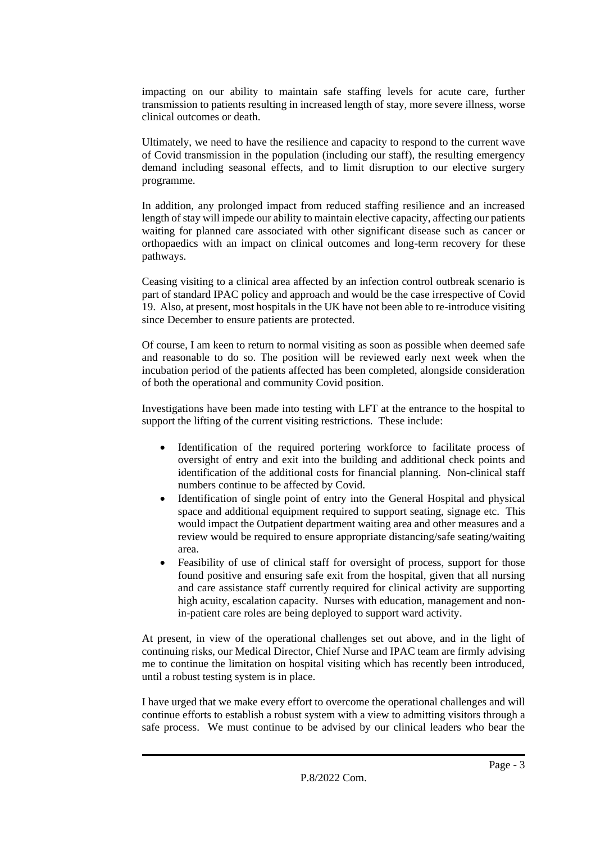impacting on our ability to maintain safe staffing levels for acute care, further transmission to patients resulting in increased length of stay, more severe illness, worse clinical outcomes or death.

Ultimately, we need to have the resilience and capacity to respond to the current wave of Covid transmission in the population (including our staff), the resulting emergency demand including seasonal effects, and to limit disruption to our elective surgery programme.

In addition, any prolonged impact from reduced staffing resilience and an increased length of stay will impede our ability to maintain elective capacity, affecting our patients waiting for planned care associated with other significant disease such as cancer or orthopaedics with an impact on clinical outcomes and long-term recovery for these pathways.

Ceasing visiting to a clinical area affected by an infection control outbreak scenario is part of standard IPAC policy and approach and would be the case irrespective of Covid 19. Also, at present, most hospitals in the UK have not been able to re-introduce visiting since December to ensure patients are protected.

Of course, I am keen to return to normal visiting as soon as possible when deemed safe and reasonable to do so. The position will be reviewed early next week when the incubation period of the patients affected has been completed, alongside consideration of both the operational and community Covid position.

Investigations have been made into testing with LFT at the entrance to the hospital to support the lifting of the current visiting restrictions. These include:

- Identification of the required portering workforce to facilitate process of oversight of entry and exit into the building and additional check points and identification of the additional costs for financial planning. Non-clinical staff numbers continue to be affected by Covid.
- Identification of single point of entry into the General Hospital and physical space and additional equipment required to support seating, signage etc. This would impact the Outpatient department waiting area and other measures and a review would be required to ensure appropriate distancing/safe seating/waiting area.
- Feasibility of use of clinical staff for oversight of process, support for those found positive and ensuring safe exit from the hospital, given that all nursing and care assistance staff currently required for clinical activity are supporting high acuity, escalation capacity. Nurses with education, management and nonin-patient care roles are being deployed to support ward activity.

At present, in view of the operational challenges set out above, and in the light of continuing risks, our Medical Director, Chief Nurse and IPAC team are firmly advising me to continue the limitation on hospital visiting which has recently been introduced, until a robust testing system is in place.

I have urged that we make every effort to overcome the operational challenges and will continue efforts to establish a robust system with a view to admitting visitors through a safe process. We must continue to be advised by our clinical leaders who bear the